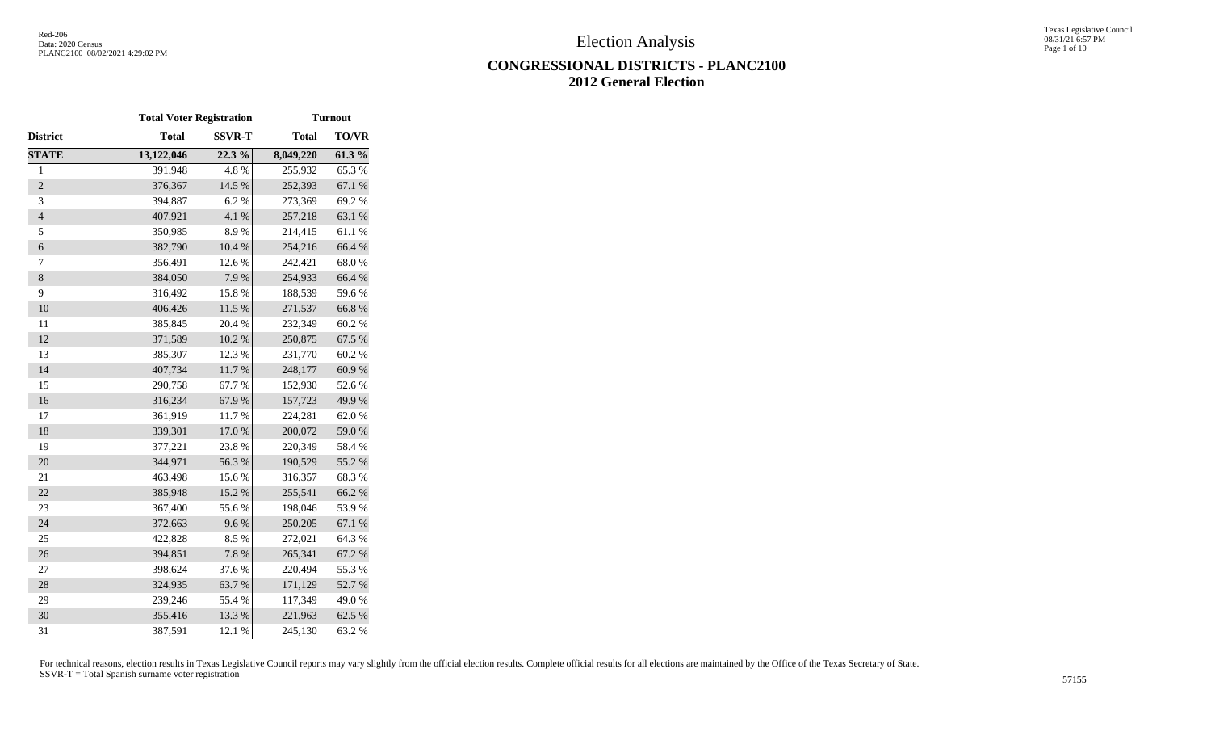Texas Legislative Council 08/31/21 6:57 PM Page 1 of 10

## **CONGRESSIONAL DISTRICTS - PLANC2100 2012 General Election**

|                | <b>Total Voter Registration</b> |               | <b>Turnout</b> |              |  |  |  |
|----------------|---------------------------------|---------------|----------------|--------------|--|--|--|
| District       | <b>Total</b>                    | <b>SSVR-T</b> | <b>Total</b>   | <b>TO/VR</b> |  |  |  |
| <b>STATE</b>   | 13,122,046                      | 22.3 %        | 8,049,220      | 61.3%        |  |  |  |
| $\mathbf{1}$   | 391,948                         | 4.8%          | 255,932        | 65.3%        |  |  |  |
| $\sqrt{2}$     | 376,367                         | 14.5 %        | 252,393        | 67.1 %       |  |  |  |
| 3              | 394,887                         | 6.2%          | 273,369        | 69.2%        |  |  |  |
| $\overline{4}$ | 407,921                         | 4.1 %         | 257,218        | 63.1 %       |  |  |  |
| 5              | 350,985                         | 8.9%          | 214,415        | 61.1%        |  |  |  |
| 6              | 382,790                         | 10.4 %        | 254,216        | 66.4%        |  |  |  |
| 7              | 356,491                         | 12.6 %        | 242,421        | 68.0%        |  |  |  |
| $\,8$          | 384,050                         | 7.9%          | 254,933        | 66.4%        |  |  |  |
| 9              | 316,492                         | 15.8 %        | 188,539        | 59.6%        |  |  |  |
| 10             | 406,426                         | $11.5~\%$     | 271,537        | 66.8%        |  |  |  |
| 11             | 385,845                         | 20.4 %        | 232,349        | 60.2%        |  |  |  |
| 12             | 371,589                         | $10.2~\%$     | 250,875        | 67.5 %       |  |  |  |
| 13             | 385,307                         | 12.3 %        | 231,770        | 60.2%        |  |  |  |
| 14             | 407,734                         | 11.7%         | 248,177        | 60.9%        |  |  |  |
| 15             | 290,758                         | 67.7%         | 152,930        | 52.6%        |  |  |  |
| 16             | 316,234                         | 67.9%         | 157,723        | 49.9%        |  |  |  |
| 17             | 361,919                         | 11.7%         | 224,281        | 62.0%        |  |  |  |
| 18             | 339,301                         | 17.0%         | 200,072        | 59.0%        |  |  |  |
| 19             | 377,221                         | 23.8 %        | 220,349        | 58.4%        |  |  |  |
| 20             | 344,971                         | 56.3%         | 190,529        | 55.2 %       |  |  |  |
| 21             | 463,498                         | 15.6%         | 316,357        | 68.3%        |  |  |  |
| 22             | 385,948                         | 15.2 %        | 255,541        | 66.2%        |  |  |  |
| 23             | 367,400                         | 55.6%         | 198,046        | 53.9%        |  |  |  |
| 24             | 372,663                         | 9.6%          | 250,205        | 67.1 %       |  |  |  |
| 25             | 422,828                         | 8.5%          | 272,021        | 64.3 %       |  |  |  |
| 26             | 394,851                         | 7.8 %         | 265,341        | 67.2 %       |  |  |  |
| 27             | 398,624                         | 37.6%         | 220,494        | 55.3%        |  |  |  |
| 28             | 324,935                         | 63.7%         | 171,129        | 52.7%        |  |  |  |
| 29             | 239,246                         | 55.4 %        | 117,349        | 49.0%        |  |  |  |
| 30             | 355,416                         | 13.3 %        | 221,963        | 62.5 %       |  |  |  |
| 31             | 387,591                         | 12.1 %        | 245,130        | 63.2 %       |  |  |  |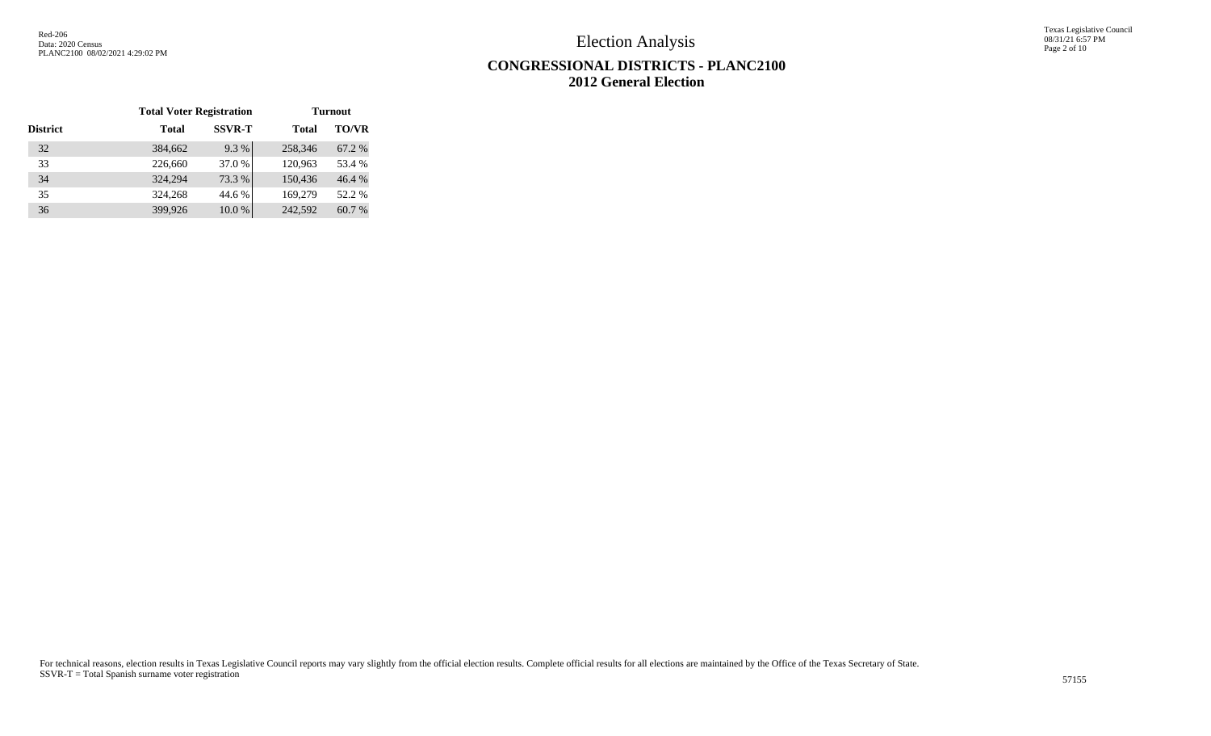Texas Legislative Council 08/31/21 6:57 PM Page 2 of 10

# **CONGRESSIONAL DISTRICTS - PLANC2100 2012 General Election**

|                 | <b>Total Voter Registration</b> |               |         | <b>Turnout</b> |
|-----------------|---------------------------------|---------------|---------|----------------|
| <b>District</b> | Total                           | <b>SSVR-T</b> | Total   | <b>TO/VR</b>   |
| 32              | 384,662                         | 9.3%          | 258,346 | 67.2 %         |
| 33              | 226,660                         | 37.0 %        | 120,963 | 53.4 %         |
| 34              | 324,294                         | 73.3 %        | 150,436 | 46.4 %         |
| 35              | 324,268                         | 44.6 %        | 169,279 | 52.2 %         |
| 36              | 399,926                         | 10.0%         | 242,592 | 60.7 %         |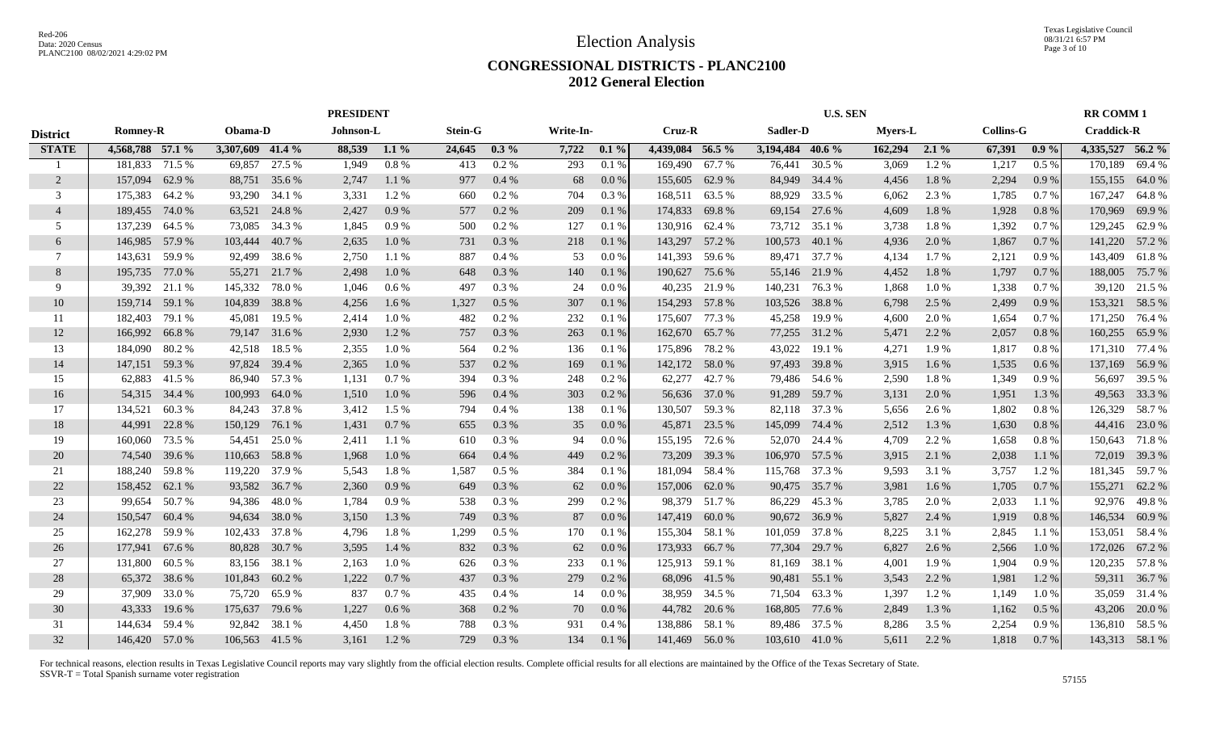Texas Legislative Council 08/31/21 6:57 PM Page 3 of 10

#### **CONGRESSIONAL DISTRICTS - PLANC2100 2012 General Election**

|                 | <b>PRESIDENT</b> |        |                  |               |           |         |                |         |           |         | <b>U.S. SEN</b>  |        |                  |               |                |         | <b>RR COMM1</b>  |         |                   |                |
|-----------------|------------------|--------|------------------|---------------|-----------|---------|----------------|---------|-----------|---------|------------------|--------|------------------|---------------|----------------|---------|------------------|---------|-------------------|----------------|
| <b>District</b> | <b>Romney-R</b>  |        | Obama-D          |               | Johnson-L |         | <b>Stein-G</b> |         | Write-In- |         | Cruz-R           |        | Sadler-D         |               | <b>Myers-L</b> |         | <b>Collins-G</b> |         | <b>Craddick-R</b> |                |
| <b>STATE</b>    | 4,568,788 57.1 % |        | 3,307,609 41.4 % |               | 88,539    | $1.1\%$ | 24,645         | $0.3\%$ | 7,722     | $0.1\%$ | 4,439,084 56.5 % |        | 3,194,484 40.6 % |               | 162,294        | $2.1\%$ | 67,391           | $0.9\%$ | 4,335,527 56.2 %  |                |
|                 | 181,833 71.5 %   |        | 69,857           | 27.5 %        | 1,949     | 0.8%    | 413            | 0.2%    | 293       | 0.1%    | 169,490          | 67.7 % | 76,441           | 30.5 %        | 3,069          | 1.2%    | 1,217            | 0.5%    | 170,189           | 69.4 %         |
| 2               | 157,094          | 62.9 % | 88,751           | 35.6 %        | 2,747     | 1.1%    | 977            | 0.4%    | 68        | 0.0 %   | 155,605          | 62.9%  | 84,949           | 34.4 %        | 4,456          | 1.8%    | 2,294            | 0.9%    | 155,155           | 64.0%          |
| 3               | 175,383          | 64.2 % | 93,290           | 34.1 %        | 3,331     | 1.2%    | 660            | $0.2\%$ | 704       | $0.3\%$ | 168,511          | 63.5 % | 88,929           | 33.5 %        | 6,062          | 2.3 %   | 1,785            | 0.7%    | 167,247           | 64.8%          |
| $\overline{4}$  | 189,455          | 74.0%  | 63,521           | 24.8%         | 2,427     | 0.9%    | 577            | $0.2\%$ | 209       | 0.1%    | 174,833          | 69.8%  | 69,154           | 27.6 %        | 4,609          | 1.8%    | 1,928            | 0.8%    | 170,969           | 69.9%          |
| 5               | 137,239          | 64.5 % | 73,085           | 34.3 %        | 1,845     | 0.9%    | 500            | 0.2 %   | 127       | 0.1%    | 130,916          | 62.4 % | 73,712           | 35.1 %        | 3,738          | 1.8%    | 1,392            | 0.7%    | 129,245           | 62.9%          |
| 6               | 146,985 57.9 %   |        | 103,444          | 40.7 %        | 2,635     | 1.0%    | 731            | 0.3%    | 218       | 0.1%    | 143,297          | 57.2 % | 100,573          | 40.1 %        | 4,936          | 2.0%    | 1,867            | 0.7%    | 141,220           | 57.2 %         |
| 7               | 143,631          | 59.9%  | 92,499           | 38.6%         | 2,750     | 1.1%    | 887            | 0.4%    | 53        | 0.0 %   | 141,393          | 59.6 % |                  | 89,471 37.7 % | 4,134          | 1.7 %   | 2,121            | 0.9%    | 143,409           | 61.8%          |
| 8               | 195,735          | 77.0 % | 55,271           | 21.7 %        | 2,498     | 1.0%    | 648            | 0.3 %   | 140       | 0.1%    | 190,627          | 75.6 % |                  | 55,146 21.9 % | 4,452          | 1.8%    | 1,797            | 0.7%    | 188,005           | 75.7%          |
| 9               | 39,392           | 21.1 % | 145,332          | 78.0%         | 1,046     | 0.6 %   | 497            | 0.3%    | 24        | 0.0 %   | 40,235           | 21.9%  | 140,231 76.3 %   |               | 1,868          | 1.0%    | 1,338            | 0.7%    | 39,120            | 21.5 %         |
| 10              | 159,714          | 59.1 % | 104,839          | 38.8%         | 4,256     | 1.6%    | 1,327          | 0.5 %   | 307       | 0.1%    | 154,293          | 57.8 % | 103,526          | 38.8%         | 6,798          | 2.5 %   | 2,499            | 0.9%    | 153,321           | 58.5 %         |
| 11              | 182,403          | 79.1 % | 45,081           | 19.5 %        | 2,414     | 1.0%    | 482            | 0.2 %   | 232       | 0.1%    | 175,607          | 77.3 % | 45,258           | 19.9 %        | 4,600          | 2.0%    | 1,654            | 0.7%    | 171,250           | 76.4 %         |
| 12              | 166,992          | 66.8%  | 79,147           | 31.6 %        | 2,930     | 1.2%    | 757            | 0.3%    | 263       | 0.1%    | 162,670          | 65.7%  | 77,255           | 31.2 %        | 5,471          | 2.2 %   | 2,057            | 0.8%    | 160,255           | 65.9%          |
| 13              | 184,090          | 80.2%  | 42,518           | 18.5 %        | 2,355     | 1.0%    | 564            | $0.2\%$ | 136       | 0.1%    | 175,896          | 78.2%  | 43,022           | 19.1 %        | 4,271          | 1.9%    | 1,817            | 0.8%    | 171,310           | 77.4 %         |
| 14              | 147,151 59.3 %   |        | 97,824           | 39.4 %        | 2,365     | 1.0%    | 537            | 0.2%    | 169       | 0.1%    | 142,172          | 58.0 % | 97,493           | 39.8%         | 3,915          | 1.6 %   | 1,535            | 0.6%    | 137,169           | 56.9%          |
| 15              | 62,883 41.5 %    |        |                  | 86,940 57.3 % | 1,131     | 0.7%    | 394            | 0.3%    | 248       | 0.2%    | 62,277           | 42.7 % |                  | 79,486 54.6 % | 2,590          | 1.8%    | 1,349            | 0.9%    | 56,697            | 39.5 %         |
| 16              | 54,315 34.4 %    |        | 100,993          | 64.0 %        | 1,510     | 1.0%    | 596            | 0.4%    | 303       | 0.2 %   | 56,636           | 37.0 % | 91,289           | 59.7 %        | 3,131          | 2.0 %   | 1,951            | 1.3 %   |                   | 49,563 33.3 %  |
| 17              | 134,521          | 60.3%  | 84,243           | 37.8%         | 3,412     | 1.5 %   | 794            | 0.4%    | 138       | 0.1%    | 130,507          | 59.3 % |                  | 82,118 37.3 % | 5,656          | 2.6 %   | 1,802            | 0.8 %   | 126,329           | 58.7%          |
| 18              | 44,991           | 22.8 % | 150,129          | 76.1 %        | 1,431     | 0.7%    | 655            | 0.3%    | 35        | 0.0 %   | 45,871           | 23.5 % | 145,099          | 74.4 %        | 2,512          | 1.3%    | 1,630            | 0.8%    | 44,416            | 23.0 %         |
| 19              | 160,060          | 73.5 % | 54,451           | 25.0 %        | 2,411     | 1.1%    | 610            | 0.3 %   | 94        | 0.0 %   | 155,195          | 72.6 % | 52,070           | 24.4 %        | 4,709          | 2.2 %   | 1,658            | 0.8%    | 150,643           | 71.8%          |
| 20              | 74,540           | 39.6 % | 110,663          | 58.8%         | 1,968     | 1.0%    | 664            | 0.4%    | 449       | 0.2%    | 73,209           | 39.3 % | 106,970          | 57.5 %        | 3,915          | 2.1 %   | 2,038            | 1.1%    | 72,019            | 39.3 %         |
| 21              | 188,240          | 59.8%  | 119,220          | 37.9 %        | 5,543     | 1.8%    | 1,587          | 0.5%    | 384       | 0.1%    | 181,094          | 58.4 % | 115,768          | 37.3 %        | 9,593          | 3.1 %   | 3,757            | 1.2%    | 181,345           | 59.7%          |
| 22              | 158,452          | 62.1 % | 93,582           | 36.7 %        | 2,360     | 0.9%    | 649            | 0.3%    | 62        | 0.0 %   | 157,006          | 62.0 % | 90,475           | 35.7 %        | 3,981          | 1.6%    | 1,705            | 0.7%    | 155,271           | 62.2 %         |
| 23              | 99,654           | 50.7%  | 94,386           | 48.0 %        | 1,784     | 0.9%    | 538            | 0.3%    | 299       | 0.2%    | 98,379           | 51.7%  | 86,229           | 45.3%         | 3,785          | 2.0%    | 2,033            | 1.1%    | 92,976            | 49.8%          |
| 24              | 150,547          | 60.4 % | 94,634           | 38.0%         | 3,150     | 1.3 %   | 749            | 0.3%    | 87        | 0.0 %   | 147,419          | 60.0%  | 90,672           | 36.9%         | 5,827          | 2.4 %   | 1,919            | 0.8%    | 146,534           | 60.9%          |
| 25              | 162,278          | 59.9%  | 102,433          | 37.8%         | 4,796     | 1.8%    | 1,299          | 0.5%    | 170       | 0.1%    | 155,304          | 58.1 % | 101,059          | 37.8%         | 8,225          | 3.1 %   | 2,845            | 1.1 %   | 153,051           | 58.4 %         |
| 26              | 177,941          | 67.6 % | 80,828           | 30.7 %        | 3,595     | 1.4 %   | 832            | 0.3 %   | 62        | 0.0 %   | 173,933          | 66.7%  | 77,304           | 29.7 %        | 6,827          | 2.6 %   | 2,566            | 1.0%    | 172,026           | 67.2%          |
| 27              | 131,800          | 60.5 % | 83,156           | 38.1 %        | 2,163     | 1.0%    | 626            | 0.3%    | 233       | 0.1%    | 125,913          | 59.1 % | 81,169           | 38.1 %        | 4,001          | 1.9%    | 1,904            | 0.9%    | 120,235           | 57.8%          |
| 28              | 65,372           | 38.6%  | 101,843          | 60.2%         | 1,222     | 0.7%    | 437            | 0.3%    | 279       | $0.2\%$ | 68,096           | 41.5 % | 90,481           | 55.1 %        | 3,543          | 2.2 %   | 1,981            | 1.2 %   |                   | 59,311 36.7 %  |
| 29              | 37,909           | 33.0%  | 75,720           | 65.9%         | 837       | 0.7%    | 435            | 0.4%    | 14        | 0.0 %   | 38,959           | 34.5 % | 71,504           | 63.3 %        | 1,397          | 1.2%    | 1,149            | 1.0%    |                   | 35,059 31.4 %  |
| 30              | 43,333           | 19.6 % | 175,637          | 79.6 %        | 1,227     | 0.6 %   | 368            | $0.2\%$ | 70        | $0.0\%$ | 44,782           | 20.6 % | 168,805          | 77.6 %        | 2,849          | 1.3%    | 1,162            | 0.5%    |                   | 43,206 20.0 %  |
| 31              | 144,634          | 59.4 % | 92,842           | 38.1 %        | 4,450     | 1.8%    | 788            | 0.3%    | 931       | 0.4%    | 138,886          | 58.1 % |                  | 89,486 37.5 % | 8,286          | 3.5 %   | 2,254            | 0.9%    |                   | 136,810 58.5 % |
| 32              | 146,420 57.0 %   |        | 106,563 41.5 %   |               | 3.161     | 1.2%    | 729            | 0.3%    | 134       | 0.1%    | 141,469 56.0 %   |        | 103,610 41.0 %   |               | 5,611          | 2.2 %   | 1,818            | 0.7 %   |                   | 143,313 58.1 % |
|                 |                  |        |                  |               |           |         |                |         |           |         |                  |        |                  |               |                |         |                  |         |                   |                |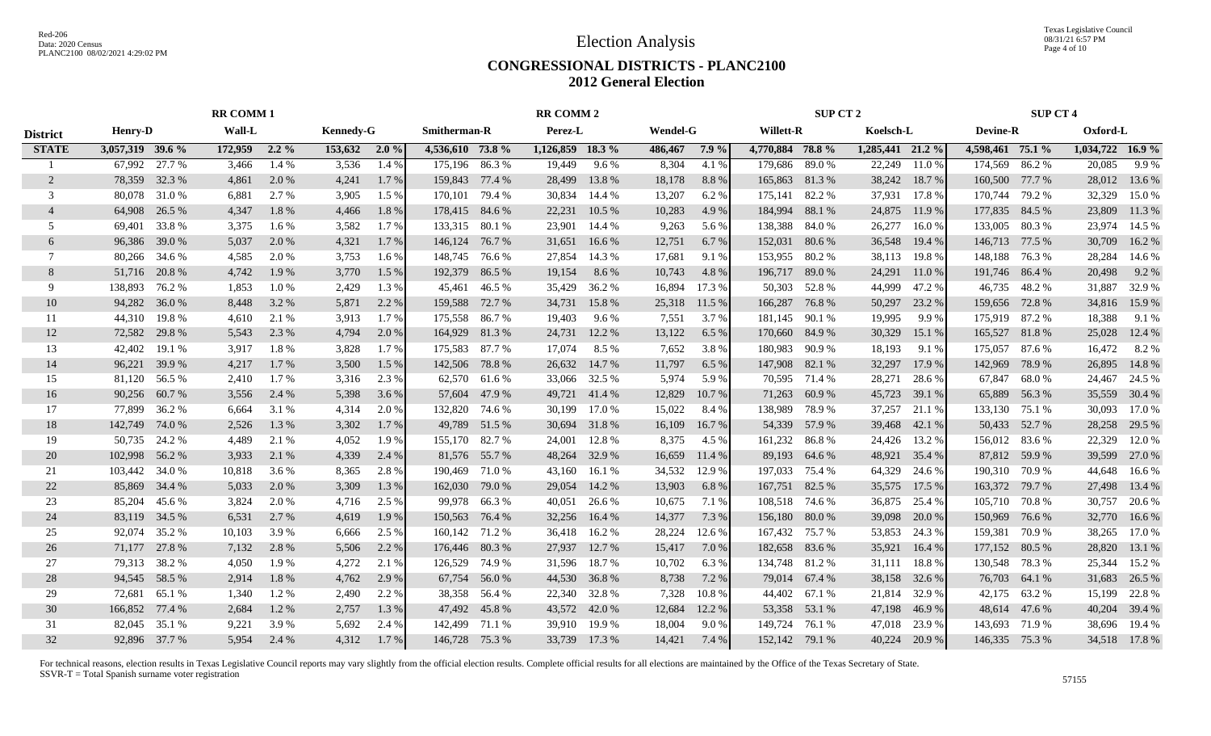Texas Legislative Council 08/31/21 6:57 PM Page 4 of 10

#### **CONGRESSIONAL DISTRICTS - PLANC2100 2012 General Election**

|                 | <b>RR COMM1</b>  |        |         | <b>RR COMM 2</b> |                  |         |                  |        | <b>SUP CT 2</b>  |               |                 |         | <b>SUP CT 4</b>  |               |                  |        |                  |               |                  |               |
|-----------------|------------------|--------|---------|------------------|------------------|---------|------------------|--------|------------------|---------------|-----------------|---------|------------------|---------------|------------------|--------|------------------|---------------|------------------|---------------|
| <b>District</b> | <b>Henry-D</b>   |        | Wall-L  |                  | <b>Kennedy-G</b> |         | Smitherman-R     |        | Perez-L          |               | <b>Wendel-G</b> |         | <b>Willett-R</b> |               | Koelsch-L        |        | <b>Devine-R</b>  |               | Oxford-L         |               |
| <b>STATE</b>    | 3,057,319 39.6 % |        | 172,959 | $2.2\%$          | 153,632 2.0 %    |         | 4,536,610 73.8 % |        | 1,126,859 18.3 % |               | 486,467         | $7.9\%$ | 4,770,884 78.8 % |               | 1,285,441 21.2 % |        | 4,598,461 75.1 % |               | 1,034,722 16.9 % |               |
|                 | 67.992           | 27.7 % | 3,466   | 1.4 %            | 3,536            | 1.4 %   | 175,196          | 86.3%  | 19,449           | $9.6\%$       | 8,304           | 4.1 %   | 179,686          | 89.0 %        | 22,249           | 11.0%  | 174,569          | 86.2%         | 20,085           | 9.9%          |
| 2               | 78,359 32.3 %    |        | 4,861   | 2.0 %            | 4,241            | 1.7 %   | 159,843 77.4 %   |        | 28,499           | 13.8%         | 18,178          | 8.8%    | 165,863 81.3 %   |               | 38,242           | 18.7 % | 160,500          | 77.7 %        | 28,012           | 13.6 %        |
| 3               | 80,078           | 31.0 % | 6,881   | 2.7 %            | 3,905            | 1.5 %   | 170.101          | 79.4 % | 30,834           | 14.4 %        | 13,207          | 6.2 %   | 175,141          | 82.2%         | 37,931           | 17.8 % | 170,744          | 79.2 %        | 32,329           | 15.0%         |
| $\overline{4}$  | 64,908           | 26.5 % | 4,347   | 1.8%             | 4,466            | 1.8%    | 178,415 84.6 %   |        | 22,231           | 10.5 %        | 10,283          | 4.9%    | 184,994          | 88.1%         | 24,875           | 11.9 % | 177,835 84.5 %   |               | 23,809           | 11.3 %        |
| 5               | 69,401           | 33.8%  | 3,375   | 1.6 %            | 3,582            | 1.7%    | 133,315          | 80.1 % | 23,901           | 14.4 %        | 9,263           | 5.6 %   | 138,388          | 84.0%         | 26,277           | 16.0%  | 133,005 80.3 %   |               | 23,974           | 14.5 %        |
| 6               | 96,386           | 39.0 % | 5,037   | 2.0 %            | 4,321            | 1.7 %   | 146,124          | 76.7 % | 31,651           | 16.6 %        | 12,751          | 6.7 %   | 152,031          | 80.6%         | 36,548           | 19.4 % | 146,713 77.5 %   |               | 30,709           | 16.2%         |
| 7               | 80,266 34.6 %    |        | 4,585   | 2.0 %            | 3,753            | $1.6\%$ | 148,745 76.6 %   |        | 27,854           | 14.3 %        | 17,681          | 9.1 %   | 153,955          | 80.2%         | 38,113           | 19.8%  | 148,188 76.3 %   |               | 28,284           | 14.6 %        |
| 8               | 51,716 20.8 %    |        | 4,742   | 1.9%             | 3,770            | 1.5 %   | 192,379          | 86.5 % | 19,154           | 8.6 %         | 10,743          | 4.8 %   | 196,717 89.0 %   |               | 24,291           | 11.0 % | 191,746 86.4 %   |               | 20,498           | 9.2 %         |
| 9               | 138,893          | 76.2 % | 1,853   | 1.0%             | 2,429            | 1.3 %   | 45,461           | 46.5 % | 35,429           | 36.2 %        | 16,894          | 17.3 %  | 50,303           | 52.8%         | 44,999           | 47.2 % |                  | 46,735 48.2 % | 31,887           | 32.9%         |
| 10              | 94,282           | 36.0%  | 8,448   | 3.2 %            | 5,871            | 2.2 %   | 159,588          | 72.7 % | 34,731           | 15.8%         | 25,318          | 11.5 %  | 166,287          | 76.8%         | 50,297           | 23.2 % | 159,656          | 72.8%         | 34,816           | 15.9%         |
| 11              | 44,310           | 19.8%  | 4,610   | 2.1 %            | 3.913            | 1.7 %   | 175,558          | 86.7 % | 19,403           | 9.6%          | 7,551           | 3.7 %   | 181,145          | 90.1 %        | 19,995           | 9.9%   | 175,919 87.2 %   |               | 18,388           | 9.1 %         |
| 12              | 72,582           | 29.8%  | 5,543   | 2.3 %            | 4,794            | 2.0 %   | 164,929 81.3 %   |        | 24,731           | 12.2 %        | 13,122          | 6.5 %   | 170,660          | 84.9%         | 30,329           | 15.1 % | 165,527 81.8 %   |               | 25,028           | 12.4 %        |
| 13              | 42,402           | 19.1 % | 3,917   | 1.8%             | 3,828            | 1.7 %   | 175,583 87.7 %   |        | 17,074           | 8.5 %         | 7,652           | 3.8%    | 180,983 90.9 %   |               | 18,193           | 9.1 %  | 175,057 87.6 %   |               | 16,472           | 8.2%          |
| 14              | 96,221           | 39.9 % | 4,217   | 1.7 %            | 3,500            | 1.5 %   | 142,506          | 78.8%  | 26,632           | 14.7 %        | 11,797          | 6.5 %   | 147,908          | 82.1 %        | 32,297           | 17.9 % | 142,969          | 78.9%         | 26,895           | 14.8%         |
| 15              | 81,120 56.5 %    |        | 2,410   | 1.7 %            | 3,316            | 2.3 %   | 62,570 61.6 %    |        |                  | 33,066 32.5 % | 5,974           | 5.9%    |                  | 70,595 71.4 % | 28,271           | 28.6 % |                  | 67,847 68.0 % | 24,467           | 24.5 %        |
| 16              | 90,256           | 60.7 % | 3,556   | 2.4 %            | 5,398            | 3.6 %   | 57,604 47.9 %    |        |                  | 49,721 41.4 % | 12,829          | 10.7%   | 71,263           | 60.9%         | 45,723           | 39.1 % |                  | 65,889 56.3 % | 35,559           | 30.4 %        |
| 17              | 77,899 36.2 %    |        | 6,664   | 3.1 %            | 4,314            | 2.0 %   | 132,820          | 74.6 % | 30,199           | 17.0 %        | 15,022          | 8.4%    | 138,989          | 78.9%         | 37,257           | 21.1 % | 133,130 75.1 %   |               | 30,093           | 17.0 %        |
| 18              | 142,749          | 74.0 % | 2,526   | 1.3%             | 3,302            | 1.7 %   | 49,789           | 51.5 % | 30,694           | 31.8%         | 16,109          | 16.7 %  | 54,339           | 57.9 %        | 39,468           | 42.1 % | 50,433           | 52.7 %        | 28,258           | 29.5 %        |
| 19              | 50,735           | 24.2 % | 4,489   | 2.1 %            | 4,052            | 1.9 %   | 155,170          | 82.7 % | 24,001           | 12.8%         | 8,375           | 4.5 %   | 161,232          | 86.8%         | 24,426           | 13.2 % | 156,012          | 83.6 %        | 22,329           | 12.0 %        |
| 20              | 102,998          | 56.2 % | 3,933   | 2.1 %            | 4,339            | 2.4 %   | 81,576 55.7 %    |        | 48,264           | 32.9 %        | 16,659          | 11.4 %  | 89,193           | 64.6 %        | 48,921           | 35.4 % |                  | 87,812 59.9 % | 39,599           | 27.0 %        |
| 21              | 103,442          | 34.0 % | 10,818  | 3.6 %            | 8,365            | 2.8%    | 190,469          | 71.0 % | 43,160           | 16.1 %        | 34,532          | 12.9 %  | 197,033          | 75.4 %        | 64,329           | 24.6 % | 190,310 70.9 %   |               | 44,648           | 16.6 %        |
| 22              | 85,869           | 34.4 % | 5,033   | 2.0 %            | 3,309            | 1.3 %   | 162,030          | 79.0%  | 29,054           | 14.2 %        | 13,903          | 6.8%    | 167,751          | 82.5 %        | 35,575           | 17.5 % | 163,372 79.7 %   |               | 27,498           | 13.4 %        |
| 23              | 85,204           | 45.6 % | 3,824   | 2.0 %            | 4,716            | 2.5 %   | 99,978           | 66.3%  | 40,051           | 26.6 %        | 10,675          | 7.1 %   | 108,518          | 74.6 %        | 36,875           | 25.4 % | 105,710          | 70.8 %        | 30,757           | 20.6 %        |
| 24              | 83,119 34.5 %    |        | 6,531   | 2.7 %            | 4,619            | 1.9%    | 150,563          | 76.4 % | 32,256           | 16.4 %        | 14,377          | 7.3 %   | 156,180          | 80.0%         | 39,098           | 20.0 % | 150,969          | 76.6 %        | 32,770           | 16.6 %        |
| 25              | 92.074           | 35.2 % | 10,103  | 3.9%             | 6.666            | 2.5 %   | 160,142 71.2 %   |        | 36,418           | 16.2 %        | 28,224          | 12.6%   | 167,432 75.7 %   |               | 53,853           | 24.3 % | 159,381          | 70.9%         | 38,265           | 17.0 %        |
| 26              | 71,177           | 27.8%  | 7,132   | 2.8 %            | 5,506            | 2.2 %   | 176,446 80.3%    |        | 27,937           | 12.7 %        | 15,417          | 7.0 %   | 182,658 83.6%    |               | 35,921           | 16.4%  | 177,152 80.5 %   |               | 28,820           | 13.1 %        |
| 27              | 79,313           | 38.2 % | 4,050   | 1.9%             | 4,272            | 2.1 %   | 126,529          | 74.9 % | 31,596           | 18.7%         | 10,702          | 6.3 %   | 134,748          | 81.2%         | 31,111           | 18.8%  | 130,548          | 78.3%         | 25,344           | 15.2 %        |
| 28              | 94,545           | 58.5 % | 2,914   | 1.8%             | 4,762            | 2.9 %   | 67,754           | 56.0 % | 44,530           | 36.8%         | 8,738           | 7.2 %   |                  | 79,014 67.4 % | 38,158           | 32.6 % | 76,703           | 64.1 %        | 31,683           | 26.5 %        |
| 29              | 72,681           | 65.1 % | 1,340   | 1.2%             | 2,490            | 2.2 %   | 38,358           | 56.4 % | 22,340           | 32.8%         | 7,328           | 10.8%   | 44,402           | 67.1 %        | 21,814           | 32.9 % |                  | 42,175 63.2 % | 15,199           | 22.8%         |
| 30              | 166,852          | 77.4 % | 2,684   | 1.2%             | 2,757            | 1.3 %   | 47,492           | 45.8%  |                  | 43,572 42.0 % | 12,684          | 12.2 %  |                  | 53,358 53.1 % | 47,198           | 46.9%  |                  | 48,614 47.6 % | 40,204           | 39.4 %        |
| 31              | 82,045           | 35.1 % | 9,221   | 3.9%             | 5,692            | 2.4 %   | 142,499          | 71.1 % | 39,910           | 19.9%         | 18,004          | 9.0%    | 149,724          | 76.1 %        | 47,018           | 23.9 % | 143,693          | 71.9 %        | 38,696           | 19.4 %        |
| 32              | 92,896 37.7 %    |        | 5,954   | 2.4 %            | 4,312            | 1.7%    | 146,728 75.3 %   |        |                  | 33,739 17.3 % | 14,421          | 7.4 %   | 152,142 79.1 %   |               | 40,224           | 20.9%  | 146,335 75.3 %   |               |                  | 34,518 17.8 % |
|                 |                  |        |         |                  |                  |         |                  |        |                  |               |                 |         |                  |               |                  |        |                  |               |                  |               |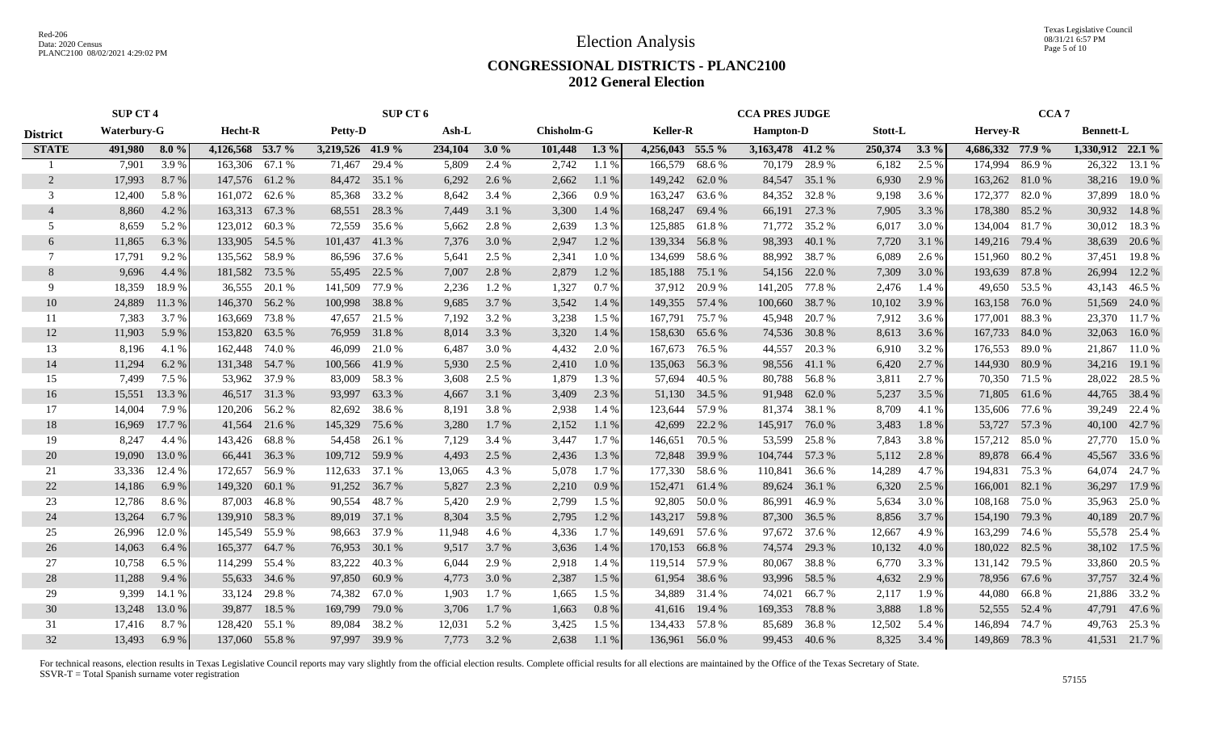Texas Legislative Council 08/31/21 6:57 PM Page 5 of 10

#### **CONGRESSIONAL DISTRICTS - PLANC2100 2012 General Election**

|                 | <b>SUP CT 4</b> |         |                  |               | SUP CT 6         |               |         |          | <b>CCA PRES JUDGE</b> |         |                  |        |                  | CCA <sub>7</sub> |                |         |                  |               |                  |               |
|-----------------|-----------------|---------|------------------|---------------|------------------|---------------|---------|----------|-----------------------|---------|------------------|--------|------------------|------------------|----------------|---------|------------------|---------------|------------------|---------------|
| <b>District</b> | Waterbury-G     |         | Hecht-R          |               | Petty-D          |               | Ash-L   |          | <b>Chisholm-G</b>     |         | <b>Keller-R</b>  |        | <b>Hampton-D</b> |                  | <b>Stott-L</b> |         | Hervey-R         |               | <b>Bennett-L</b> |               |
| <b>STATE</b>    | 491,980         | $8.0\%$ | 4,126,568 53.7 % |               | 3,219,526 41.9 % |               | 234,104 | 3.0 $\%$ | 101,448               | $1.3\%$ | 4,256,043 55.5 % |        | 3,163,478 41.2 % |                  | 250,374        | $3.3\%$ | 4,686,332 77.9 % |               | 1,330,912 22.1 % |               |
|                 | 7,901           | 3.9%    | 163,306 67.1 %   |               | 71,467           | 29.4 %        | 5,809   | 2.4 %    | 2,742                 | 1.1 %   | 166,579          | 68.6%  | 70,179           | 28.9%            | 6,182          | 2.5 %   | 174,994          | 86.9%         | 26,322           | 13.1 %        |
| $\overline{2}$  | 17,993          | 8.7%    | 147,576 61.2 %   |               | 84,472           | 35.1 %        | 6,292   | 2.6 %    | 2,662                 | 1.1 %   | 149,242          | 62.0 % | 84,547           | 35.1 %           | 6,930          | 2.9 %   | 163,262 81.0 %   |               | 38,216           | 19.0 %        |
| 3               | 12,400          | 5.8%    | 161,072          | 62.6 %        | 85,368           | 33.2 %        | 8,642   | 3.4 %    | 2,366                 | 0.9%    | 163,247          | 63.6 % | 84,352           | 32.8%            | 9,198          | 3.6 %   | 172,377          | 82.0 %        | 37,899           | 18.0%         |
| $\overline{4}$  | 8,860           | 4.2 %   | 163,313          | 67.3%         | 68,551           | 28.3 %        | 7,449   | 3.1 %    | 3,300                 | 1.4 %   | 168,247          | 69.4 % | 66,191           | 27.3 %           | 7,905          | 3.3 %   | 178,380 85.2 %   |               | 30,932           | 14.8%         |
| 5               | 8,659           | 5.2 %   | 123,012          | 60.3%         | 72,559           | 35.6 %        | 5,662   | 2.8%     | 2,639                 | 1.3%    | 125,885          | 61.8%  | 71,772           | 35.2 %           | 6,017          | 3.0 %   | 134,004          | 81.7 %        | 30,012           | 18.3%         |
| 6               | 11,865          | 6.3 %   | 133,905 54.5 %   |               | 101,437          | 41.3%         | 7,376   | 3.0%     | 2,947                 | 1.2%    | 139,334          | 56.8%  | 98,393           | 40.1 %           | 7,720          | 3.1 %   | 149,216 79.4 %   |               | 38,639           | 20.6 %        |
| 7               | 17,791          | 9.2 %   | 135,562          | 58.9 %        |                  | 86,596 37.6 % | 5,641   | 2.5 %    | 2,341                 | 1.0%    | 134,699          | 58.6%  | 88,992           | 38.7 %           | 6,089          | 2.6 %   | 151,960 80.2 %   |               | 37,451           | 19.8%         |
| 8               | 9,696           | 4.4 %   | 181,582 73.5 %   |               |                  | 55,495 22.5 % | 7,007   | 2.8 %    | 2,879                 | 1.2%    | 185,188          | 75.1 % |                  | 54,156 22.0 %    | 7,309          | 3.0 %   | 193,639 87.8 %   |               | 26,994           | 12.2 %        |
| 9               | 18,359          | 18.9%   | 36,555           | 20.1 %        | 141,509          | 77.9 %        | 2,236   | 1.2 %    | 1,327                 | 0.7%    | 37,912           | 20.9 % | 141,205          | 77.8 %           | 2,476          | 1.4 %   |                  | 49,650 53.5 % | 43,143           | 46.5 %        |
| 10              | 24,889          | 11.3 %  | 146,370          | 56.2 %        | 100,998          | 38.8%         | 9,685   | 3.7 %    | 3,542                 | 1.4 %   | 149,355          | 57.4 % | 100,660          | 38.7 %           | 10,102         | 3.9 %   | 163,158          | 76.0 %        | 51,569           | 24.0 %        |
| 11              | 7,383           | 3.7 %   | 163,669          | 73.8 %        | 47,657           | 21.5 %        | 7,192   | 3.2 %    | 3,238                 | 1.5 %   | 167,791          | 75.7%  | 45,948           | 20.7 %           | 7,912          | 3.6 %   | 177,001          | 88.3 %        | 23,370           | 11.7 %        |
| 12              | 11,903          | 5.9%    | 153,820          | 63.5 %        | 76,959           | 31.8%         | 8,014   | 3.3 %    | 3,320                 | 1.4 %   | 158,630          | 65.6 % |                  | 74,536 30.8 %    | 8,613          | 3.6 %   | 167,733 84.0 %   |               | 32,063           | 16.0%         |
| 13              | 8,196           | 4.1 %   | 162,448 74.0 %   |               | 46,099           | 21.0%         | 6,487   | 3.0 %    | 4,432                 | 2.0 %   | 167,673          | 76.5 % | 44,557           | 20.3 %           | 6,910          | 3.2 %   | 176,553          | 89.0 %        | 21,867           | 11.0 %        |
| 14              | 11,294          | 6.2%    | 131,348 54.7 %   |               | 100,566          | 41.9%         | 5,930   | 2.5 %    | 2,410                 | 1.0%    | 135,063          | 56.3%  |                  | 98,556 41.1 %    | 6,420          | 2.7 %   | 144,930 80.9 %   |               | 34,216           | 19.1 %        |
| 15              | 7,499           | 7.5 %   |                  | 53,962 37.9 % | 83,009           | 58.3%         | 3,608   | 2.5 %    | 1,879                 | 1.3%    | 57,694           | 40.5 % |                  | 80,788 56.8%     | 3,811          | 2.7 %   |                  | 70,350 71.5 % | 28,022           | 28.5 %        |
| 16              | 15,551          | 13.3 %  |                  | 46,517 31.3 % | 93,997           | 63.3%         | 4,667   | 3.1 %    | 3,409                 | 2.3 %   | 51,130           | 34.5 % |                  | 91,948 62.0 %    | 5,237          | 3.5 %   |                  | 71,805 61.6 % | 44,765           | 38.4 %        |
| 17              | 14,004          | 7.9%    | 120,206 56.2 %   |               | 82,692           | 38.6 %        | 8,191   | 3.8%     | 2,938                 | 1.4 %   | 123,644          | 57.9 % |                  | 81,374 38.1 %    | 8,709          | 4.1 %   | 135,606 77.6 %   |               | 39,249           | 22.4 %        |
| 18              | 16,969          | 17.7 %  | 41,564           | 21.6 %        | 145,329          | 75.6 %        | 3,280   | 1.7 %    | 2,152                 | 1.1%    | 42,699           | 22.2 % | 145,917 76.0 %   |                  | 3,483          | 1.8%    | 53,727           | 57.3 %        | 40,100           | 42.7 %        |
| 19              | 8,247           | 4.4 %   | 143,426          | 68.8%         | 54,458           | 26.1 %        | 7,129   | 3.4 %    | 3,447                 | 1.7 %   | 146,651          | 70.5 % | 53,599           | 25.8%            | 7,843          | 3.8%    | 157,212          | 85.0%         | 27,770           | 15.0 %        |
| 20              | 19,090          | 13.0 %  | 66,441           | 36.3%         | 109,712          | 59.9%         | 4,493   | 2.5 %    | 2,436                 | 1.3%    | 72,848           | 39.9 % | 104,744          | 57.3 %           | 5,112          | 2.8%    | 89,878           | 66.4 %        | 45,567           | 33.6 %        |
| 21              | 33,336          | 12.4 %  | 172,657          | 56.9 %        | 112,633 37.1 %   |               | 13,065  | 4.3 %    | 5,078                 | 1.7 %   | 177,330          | 58.6%  | 110,841          | 36.6 %           | 14,289         | 4.7 %   | 194,831          | 75.3 %        | 64,074           | 24.7 %        |
| 22              | 14,186          | 6.9%    | 149,320          | 60.1%         | 91,252           | 36.7 %        | 5,827   | 2.3 %    | 2,210                 | 0.9%    | 152,471          | 61.4 % | 89,624           | 36.1 %           | 6,320          | 2.5 %   | 166,001          | 82.1 %        | 36,297           | 17.9 %        |
| 23              | 12,786          | 8.6%    | 87,003           | 46.8%         | 90,554           | 48.7%         | 5,420   | 2.9%     | 2,799                 | 1.5 %   | 92,805           | 50.0%  | 86,991           | 46.9%            | 5,634          | 3.0 %   | 108,168          | 75.0 %        | 35,963           | 25.0%         |
| 24              | 13,264          | 6.7%    | 139,910          | 58.3 %        | 89,019           | 37.1 %        | 8,304   | 3.5 %    | 2,795                 | 1.2%    | 143,217          | 59.8%  | 87,300           | 36.5 %           | 8,856          | 3.7%    | 154,190 79.3 %   |               | 40,189           | 20.7 %        |
| 25              | 26,996          | 12.0 %  | 145,549          | 55.9 %        | 98,663           | 37.9 %        | 11,948  | 4.6 %    | 4,336                 | 1.7 %   | 149,691          | 57.6 % |                  | 97,672 37.6 %    | 12,667         | 4.9 %   | 163,299 74.6 %   |               | 55,578           | 25.4 %        |
| 26              | 14,063          | 6.4 %   | 165,377          | 64.7 %        | 76,953           | 30.1 %        | 9,517   | 3.7 %    | 3,636                 | 1.4 %   | 170,153          | 66.8%  | 74,574           | 29.3 %           | 10,132         | 4.0 %   | 180,022 82.5 %   |               | 38,102           | 17.5 %        |
| 27              | 10,758          | 6.5 %   | 114,299          | 55.4 %        | 83,222           | 40.3%         | 6,044   | 2.9 %    | 2,918                 | 1.4 %   | 119,514          | 57.9 % | 80,067           | 38.8%            | 6,770          | 3.3 %   | 131,142          | 79.5 %        | 33,860           | 20.5 %        |
| 28              | 11,288          | 9.4 %   | 55,633           | 34.6 %        | 97,850           | 60.9%         | 4,773   | 3.0 %    | 2,387                 | 1.5 %   | 61,954           | 38.6 % | 93,996           | 58.5 %           | 4,632          | 2.9 %   |                  | 78,956 67.6 % | 37,757           | 32.4 %        |
| 29              | 9,399           | 14.1 %  | 33,124           | 29.8%         | 74,382           | 67.0 %        | 1,903   | 1.7 %    | 1,665                 | 1.5 %   | 34,889           | 31.4 % | 74,021           | 66.7 %           | 2,117          | 1.9%    |                  | 44,080 66.8 % | 21,886           | 33.2 %        |
| 30              | 13,248          | 13.0 %  | 39,877           | 18.5 %        | 169,799          | 79.0%         | 3,706   | 1.7 %    | 1,663                 | 0.8%    | 41,616           | 19.4 % | 169,353          | 78.8%            | 3,888          | 1.8%    |                  | 52,555 52.4 % |                  | 47,791 47.6 % |
| 31              | 17,416          | 8.7%    | 128,420          | 55.1 %        | 89,084           | 38.2%         | 12,031  | 5.2 %    | 3,425                 | 1.5 %   | 134,433          | 57.8%  | 85,689           | 36.8%            | 12,502         | 5.4 %   | 146,894          | 74.7 %        | 49,763           | 25.3 %        |
| 32              | 13,493          | 6.9%    | 137,060 55.8 %   |               |                  | 97,997 39.9 % | 7.773   | 3.2 %    | 2,638                 | 1.1%    | 136,961 56.0 %   |        |                  | 99,453 40.6 %    | 8,325          | 3.4 %   | 149,869 78.3 %   |               |                  | 41,531 21.7 % |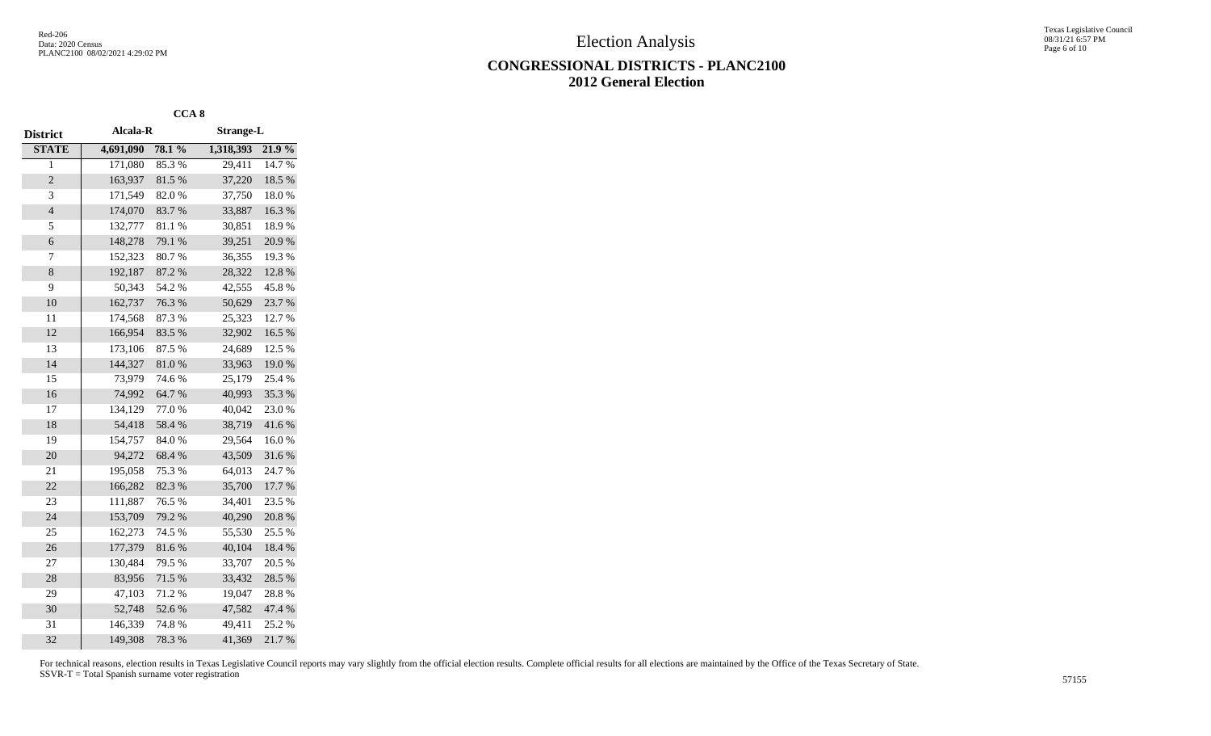Texas Legislative Council 08/31/21 6:57 PM Page 6 of 10

### **CONGRESSIONAL DISTRICTS - PLANC2100 2012 General Election**

|                |           | CCA <sub>8</sub> |                  |        |
|----------------|-----------|------------------|------------------|--------|
| District       | Alcala-R  |                  | <b>Strange-L</b> |        |
| <b>STATE</b>   | 4,691,090 | 78.1%            | 1,318,393        | 21.9%  |
| 1              | 171,080   | 85.3%            | 29,411           | 14.7%  |
| $\overline{c}$ | 163,937   | 81.5%            | 37,220           | 18.5 % |
| 3              | 171,549   | 82.0%            | 37,750           | 18.0%  |
| $\overline{4}$ | 174,070   | 83.7%            | 33,887           | 16.3%  |
| 5              | 132,777   | 81.1%            | 30,851           | 18.9%  |
| 6              | 148,278   | 79.1 %           | 39,251           | 20.9%  |
| 7              | 152,323   | 80.7%            | 36,355           | 19.3%  |
| 8              | 192,187   | 87.2 %           | 28,322           | 12.8 % |
| 9              | 50,343    | 54.2 %           | 42,555           | 45.8%  |
| 10             | 162,737   | 76.3 %           | 50,629           | 23.7 % |
| 11             | 174,568   | 87.3%            | 25,323           | 12.7 % |
| 12             | 166,954   | 83.5 %           | 32,902           | 16.5 % |
| 13             | 173,106   | 87.5 %           | 24,689           | 12.5 % |
| 14             | 144,327   | 81.0%            | 33,963           | 19.0%  |
| 15             | 73,979    | 74.6 %           | 25,179           | 25.4 % |
| 16             | 74,992    | 64.7%            | 40,993           | 35.3%  |
| 17             | 134,129   | 77.0%            | 40,042           | 23.0%  |
| 18             | 54,418    | 58.4%            | 38,719           | 41.6%  |
| 19             | 154,757   | 84.0%            | 29,564           | 16.0%  |
| 20             | 94,272    | 68.4%            | 43,509           | 31.6%  |
| 21             | 195,058   | 75.3 %           | 64,013           | 24.7 % |
| 22             | 166,282   | 82.3 %           | 35,700           | 17.7 % |
| 23             | 111,887   | 76.5 %           | 34,401           | 23.5 % |
| 24             | 153,709   | 79.2 %           | 40,290           | 20.8 % |
| 25             | 162,273   | 74.5 %           | 55,530           | 25.5 % |
| 26             | 177,379   | 81.6%            | 40,104           | 18.4 % |
| 27             | 130,484   | 79.5 %           | 33,707           | 20.5 % |
| 28             | 83,956    | 71.5 %           | 33,432           | 28.5 % |
| 29             | 47,103    | 71.2%            | 19,047           | 28.8%  |
| 30             | 52,748    | 52.6%            | 47,582           | 47.4 % |
| 31             | 146,339   | 74.8%            | 49,411           | 25.2 % |
| 32             | 149,308   | 78.3%            | 41,369           | 21.7%  |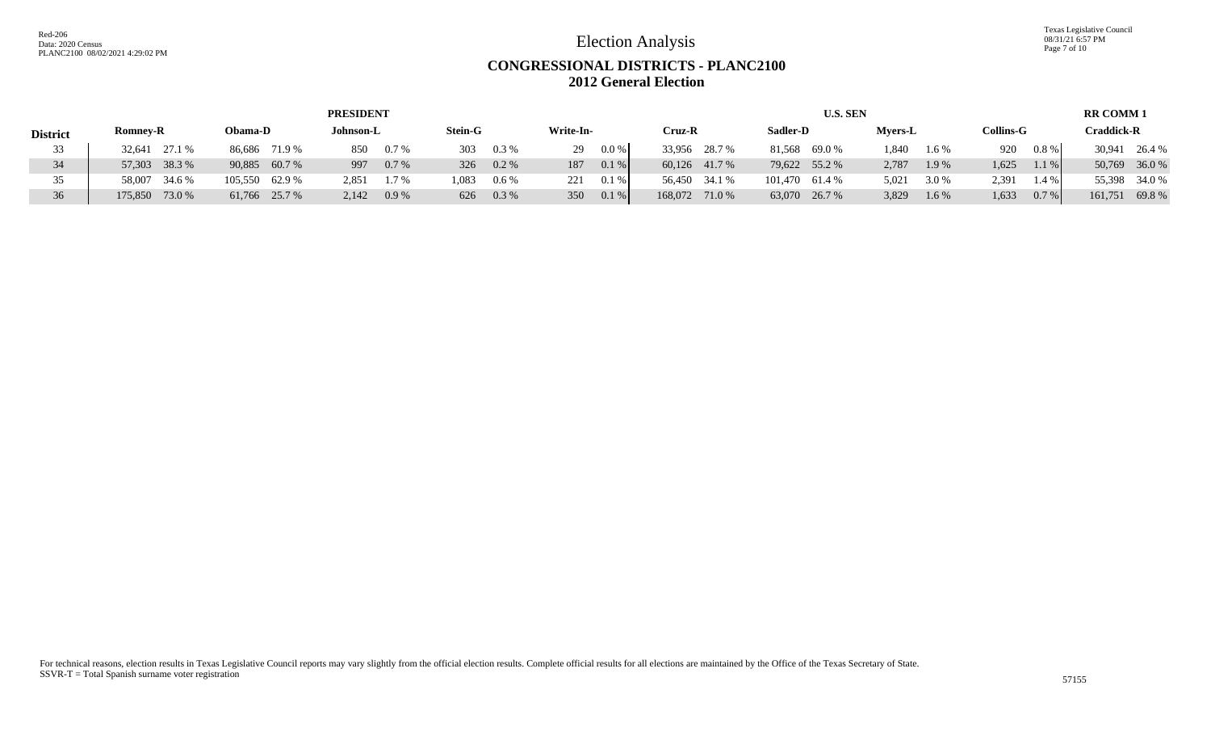Texas Legislative Council 08/31/21 6:57 PM Page 7 of 10

## **CONGRESSIONAL DISTRICTS - PLANC2100 2012 General Election**

|                 |                   |                | <b>PRESIDENT</b> |                  |              |                   | <b>U.S. SEN</b>   |                |                  | <b>RR COMM1</b>   |
|-----------------|-------------------|----------------|------------------|------------------|--------------|-------------------|-------------------|----------------|------------------|-------------------|
| <b>District</b> | <b>Romney-R</b>   | Obama-D        | Johnson-L        | <b>Stein-G</b>   | Write-In-    | Cruz-R            | Sadler-D          | <b>Myers-L</b> | <b>Collins-G</b> | Craddick-R        |
| 33              | 27.1 %<br>32.641  | 86,686 71.9 %  | 850<br>0.7%      | 303<br>$0.3\%$   | 0.0 %<br>29  | 33,956 28.7 %     | 81.568<br>69.0 %  | 1.840<br>1.6 % | $0.8 \%$<br>920  | 30,941<br>26.4 %  |
| 34              | 57,303 38.3 %     | 90,885 60.7 %  | 0.7%<br>997      | 326 0.2 %        | 0.1%<br>187  | 60.126 41.7 %     | 79,622 55.2 %     | 2,787<br>1.9 % | 1,625<br>1.1%    | 50,769 36.0 %     |
|                 | 58.007<br>34.6 %  | 105,550 62.9 % | 2,851<br>1.7%    | 1,083<br>$0.6\%$ | 0.1%<br>221  | 56,450 34.1 %     | 101,470<br>61.4 % | 5,021<br>3.0 % | 2,391<br>1.4%    | 55,398 34.0 %     |
| 36              | 73.0 %<br>175,850 | 61,766 25.7 %  | 2.142<br>0.9%    | 626<br>$0.3\%$   | 0.1 %<br>350 | 168,072<br>71.0 % | 63,070 26.7 %     | 3,829<br>1.6 % | 1,633<br>0.7%    | 69.8 %<br>161,751 |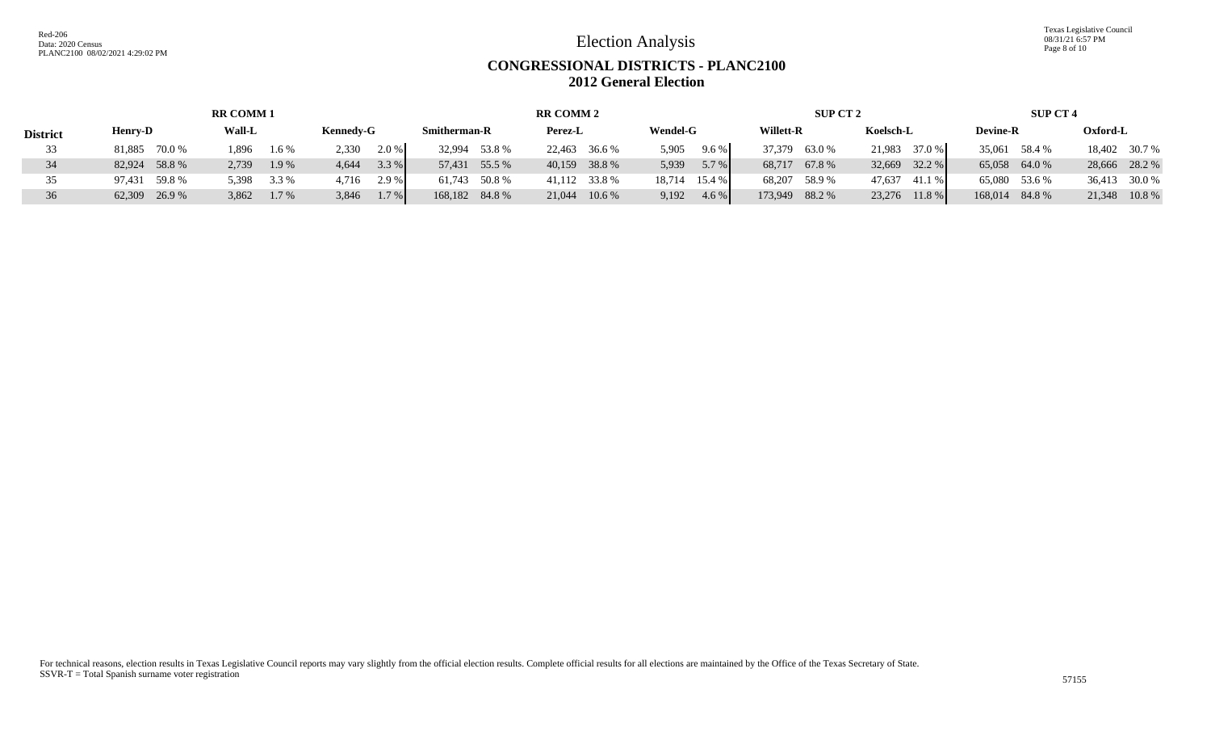Texas Legislative Council 08/31/21 6:57 PM Page 8 of 10

## **CONGRESSIONAL DISTRICTS - PLANC2100 2012 General Election**

| <b>RR COMM1</b> |                  |                  |                  |                     | <b>RR COMM 2</b>   |                  | SUP CT 2       |                  | <b>SUP CT 4</b> |                 |  |
|-----------------|------------------|------------------|------------------|---------------------|--------------------|------------------|----------------|------------------|-----------------|-----------------|--|
| <b>District</b> | <b>Henry-D</b>   | <b>Wall-L</b>    | <b>Kennedy-G</b> | <b>Smitherman-R</b> | Perez-L            | <b>Wendel-G</b>  | Willett-R      | Koelsch-L        | <b>Devine-R</b> | Oxford-L        |  |
| 33              | 70.0 %<br>81.885 | .896<br>$1.6\%$  | 2.0%<br>2.330    | 32,994 53.8 %       | 22,463<br>36.6 %   | 5,905<br>9.6%    | 37,379 63.0 %  | 37.0 %<br>21.983 | 35,061 58.4 %   | 18,402 30.7 %   |  |
| 34              | 82,924 58.8 %    | 2,739<br>1.9 %   | 3.3 %<br>4.644   | 57,431 55.5 %       | 40,159 38.8 %      | 5.7 %<br>5,939   | 68,717 67.8 %  | 32.2 %<br>32,669 | 65,058 64.0 %   | 28,666 28.2 %   |  |
| 35              | 97,431 59.8 %    | 3.3 %<br>5.398   | 2.9 %<br>4.716   | 61,743 50.8 %       | 41,112 33.8 %      | 18,714 15.4 %    | 68,207 58.9 %  | 47,637 41.1 %    | 65,080 53.6 %   | 36,413 30.0 %   |  |
| 36              | 62,309 26.9 %    | 3,862<br>$1.7\%$ | 3,846<br>$1.7\%$ | 168,182 84.8 %      | 21,044<br>$10.6\%$ | 9,192<br>$4.6\%$ | 173,949 88.2 % | 23,276<br>11.8 % | 168,014 84.8 %  | 21,348<br>10.8% |  |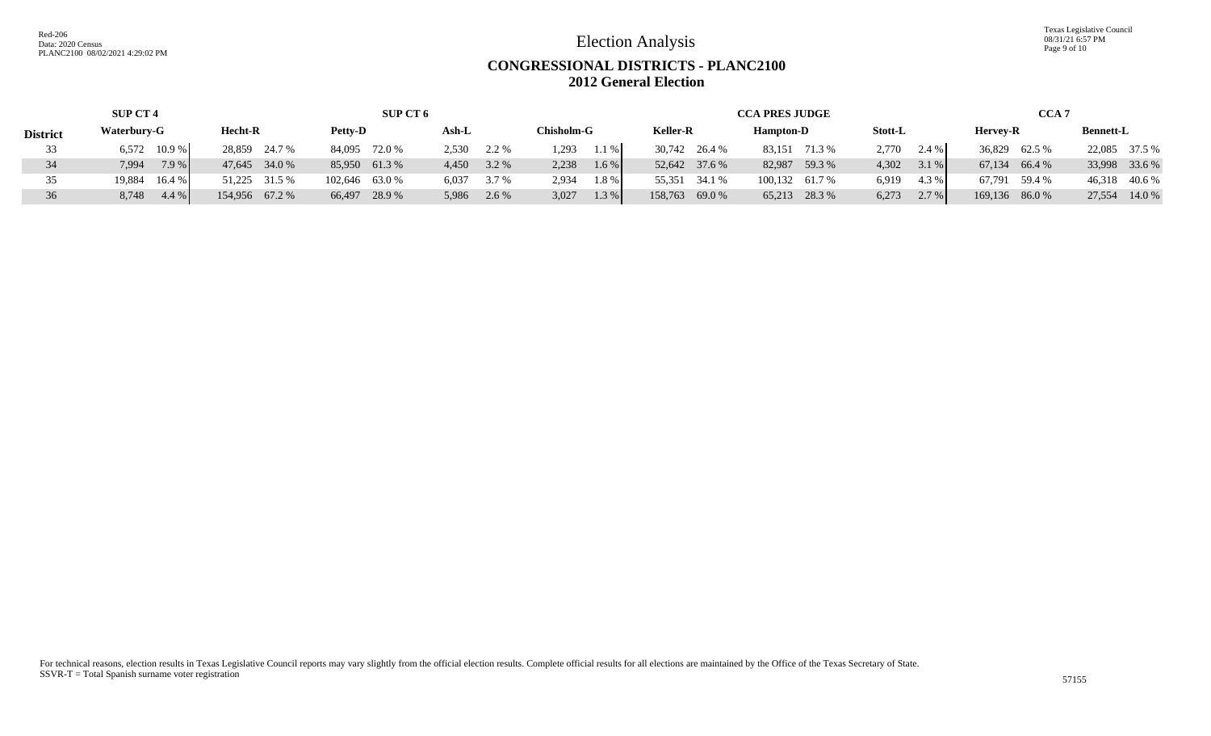Texas Legislative Council 08/31/21 6:57 PM Page 9 of 10

## **CONGRESSIONAL DISTRICTS - PLANC2100 2012 General Election**

|                 | <b>SUP CT 4</b>  |                | SUP CT 6       |                |                   |                 | <b>CCA PRES JUDGE</b> |                  | <b>CCA 7</b>   |                  |  |
|-----------------|------------------|----------------|----------------|----------------|-------------------|-----------------|-----------------------|------------------|----------------|------------------|--|
| <b>District</b> | Waterbury-G      | Hecht-R        | <b>Petty-D</b> | Ash-L          | <b>Chisholm-G</b> | <b>Keller-R</b> | <b>Hampton-D</b>      | Stott-L          | Hervey-R       | <b>Bennett-L</b> |  |
|                 | $6,572$ 10.9 %   | 28,859 24.7 %  | 84,095 72.0 %  | 2.530<br>2.2 % | .293<br>1.1 %     | 30,742 26.4 %   | 83,151 71.3 %         | 2.770<br>$2.4\%$ | 36,829 62.5 %  | 22,085 37.5 %    |  |
|                 | 7.9 %<br>7.994   | 47,645 34.0 %  | 85,950 61.3 %  | 4,450 3.2 %    | 2.238<br>1.6 %    | 52,642 37.6 %   | 82,987 59.3 %         | 4.302<br>3.1%    | 67,134 66.4 %  | 33,998 33.6 %    |  |
|                 | 16.4 %<br>19,884 | 51,225 31.5 %  | 102,646 63.0 % | 3.7 %<br>6,037 | 2.934<br>1.8%     | 55,351 34.1 %   | 100,132 61.7 %        | 6,919<br>4.3 %   | 67,791 59.4 %  | 46,318 40.6 %    |  |
| 36              | 4.4 %<br>8,748   | 154,956 67.2 % | 66,497 28.9 %  | 5,986 2.6 %    | 1.3 %<br>3,027    | 158,763 69.0 %  | 65,213 28.3 %         | $2.7\%$<br>6,273 | 169,136 86.0 % | 14.0 %<br>27,554 |  |